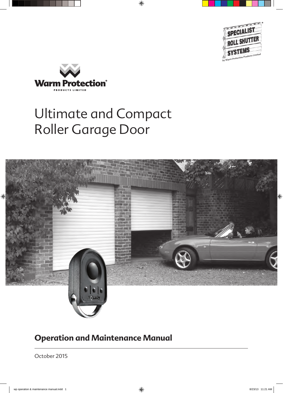



# Ultimate and Compact Roller Garage Door



### **Operation and Maintenance Manual**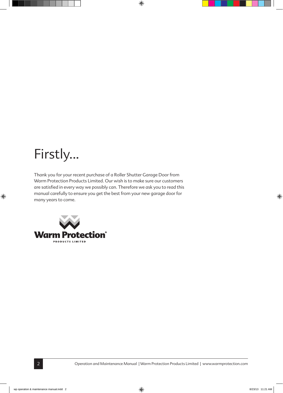# Firstly...

Thank you for your recent purchase of a Roller Shutter Garage Door from Warm Protection Products Limited. Our wish is to make sure our customers are satisfied in every way we possibly can. Therefore we ask you to read this manual carefully to ensure you get the best from your new garage door for many years to come.

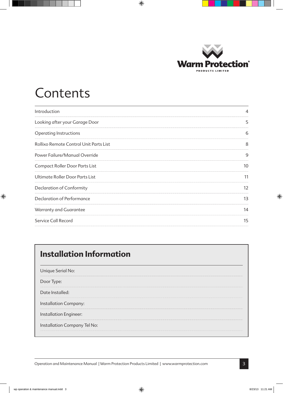

### Contents

| Introduction                           | $\overline{4}$ |
|----------------------------------------|----------------|
| Looking after your Garage Door         | 5              |
| Operating Instructions                 | 6              |
| Rollixo Remote Control Unit Parts List | 8              |
| Power Failure/Manual Override          | 9              |
| Compact Roller Door Parts List         | 10             |
| Ultimate Roller Door Parts List        | 11             |
| Declaration of Conformity              | 12             |
| Declaration of Performance             | 13             |
| Warranty and Guarantee                 | 14             |
| Service Call Record                    | 15             |

### **Installation Information**

Unique Serial No:

Door Type:

Date Installed:

Installation Company:

Installation Engineer:

Installation Company Tel No: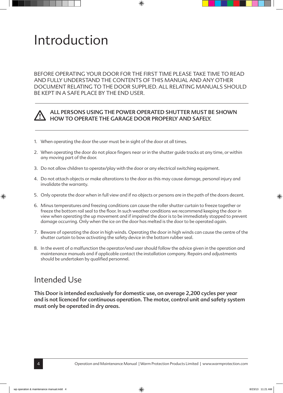## Introduction

BEFORE OPERATING YOUR DOOR FOR THE FIRST TIME PLEASE TAKE TIME TO READ AND FULLY UNDERSTAND THE CONTENTS OF THIS MANUAL AND ANY OTHER DOCUMENT RELATING TO THE DOOR SUPPLIED. ALL RELATING MANUALS SHOULD BE KEPT IN A SAFE PLACE BY THE END USER.



#### ALL PERSONS USING THE POWER OPERATED SHUTTER MUST BE SHOWN HOW TO OPERATE THE GARAGE DOOR PROPERLY AND SAFELY.

- 1. When operating the door the user must be in sight of the door at all times.
- 2. When operating the door do not place fingers near or in the shutter guide tracks at any time, or within any moving part of the door.
- 3. Do not allow children to operate/play with the door or any electrical switching equipment.
- 4. Do not attach objects or make alterations to the door as this may cause damage, personal injury and invalidate the warranty.
- 5. Only operate the door when in full view and if no objects or persons are in the path of the doors decent.
- 6. Minus temperatures and freezing conditions can cause the roller shutter curtain to freeze together or freeze the bottom rail seal to the floor. In such weather conditions we recommend keeping the door in view when operating the up movement and if impaired the door is to be immediately stopped to prevent damage occurring. Only when the ice on the door has melted is the door to be operated again.
- 7. Beware of operating the door in high winds. Operating the door in high winds can cause the centre of the shutter curtain to bow activating the safety device in the bottom rubber seal.
- 8. In the event of a malfunction the operator/end user should follow the advice given in the operation and maintenance manuals and if applicable contact the installation company. Repairs and adjustments should be undertaken by qualified personnel.

#### Intended Use

This Door is intended exclusively for domestic use, on average 2,200 cycles per year and is not licenced for continuous operation. The motor, control unit and safety system must only be operated in dry areas.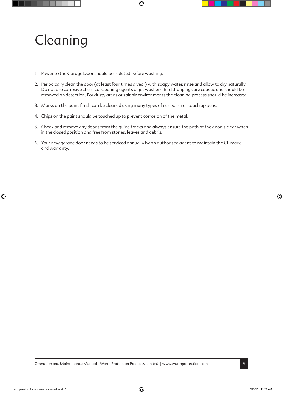# Cleaning

- 1. Power to the Garage Door should be isolated before washing.
- 2. Periodically clean the door (at least four times a year) with soapy water, rinse and allow to dry naturally. Do not use corrosive chemical cleaning agents or jet washers. Bird droppings are caustic and should be removed on detection. For dusty areas or salt air environments the cleaning process should be increased.
- 3. Marks on the paint finish can be cleaned using many types of car polish or touch up pens.
- 4. Chips on the paint should be touched up to prevent corrosion of the metal.
- 5. Check and remove any debris from the guide tracks and always ensure the path of the door is clear when in the closed position and free from stones, leaves and debris.
- 6. Your new garage door needs to be serviced annually by an authorised agent to maintain the CE mark and warranty.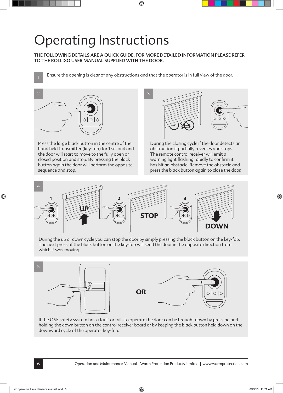# Operating Instructions

THE FOLLOWING DETAILS ARE A QUICK GUIDE, FOR MORE DETAILED INFORMATION PLEASE REFER TO THE ROLLIXO USER MANUAL SUPPLIED WITH THE DOOR.

Ensure the opening is clear of any obstructions and that the operator is in full view of the door.



Press the large black button in the centre of the hand held transmitter (key-fob) for 1 second and the door will start to move to the fully open or closed position and stop. By pressing the black button again the door will perform the opposite sequence and stop.



During the closing cycle if the door detects an obstruction it partially reverses and stops. The remote control receiver will emit a warning light flashing rapidly to confirm it has hit an obstacle. Remove the obstacle and press the black button again to close the door.



During the up or down cycle you can stop the door by simply pressing the black button on the key-fob. The next press of the black button on the key-fob will send the door in the opposite direction from which it was moving.



If the OSE safety system has a fault or fails to operate the door can be brought down by pressing and holding the down button on the control receiver board or by keeping the black button held down on the downward cycle of the operator key-fob.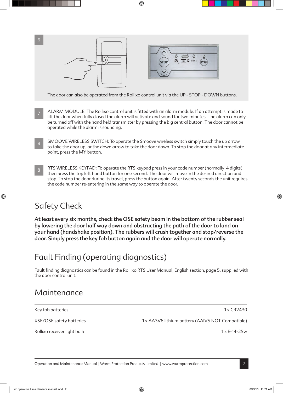

The door can also be operated from the Rollixo control unit via the UP - STOP - DOWN buttons.

- 7 ALARM MODULE: The Rollixo control unit is fitted with an alarm module. If an attempt is made to lift the door when fully closed the alarm will activate and sound for two minutes. The alarm can only be turned off with the hand held transmitter by pressing the big central button. The door cannot be operated while the alarm is sounding.
- 8 SMOOVE WIRELESS SWITCH: To operate the Smoove wireless switch simply touch the up arrow to take the door up, or the down arrow to take the door down. To stop the door at any intermediate point, press the MY button.
- 8 RTS WIRELESS KEYPAD: To operate the RTS keypad press in your code number (normally 4 digits) then press the top left hand button for one second. The door will move in the desired direction and stop. To stop the door during its travel, press the button again. After twenty seconds the unit requires the code number re-entering in the same way to operate the door.

### Safety Check

At least every six months, check the OSE safety beam in the bottom of the rubber seal by lowering the door half way down and obstructing the path of the door to land on your hand (handshake position). The rubbers will crush together and stop/reverse the door. Simply press the key fob button again and the door will operate normally.

### Fault Finding (operating diagnostics)

Fault finding diagnostics can be found in the Rollixo RTS User Manual, English section, page 5, supplied with the door control unit.

#### Maintenance

Key fob batteries  $1 \times CR2430$ 

XSE/OSE safety batteries 1 x AA3V6 lithium battery (AAIV5 NOT Compatible)

Rollixo receiver light bulb 1 x E-14-25w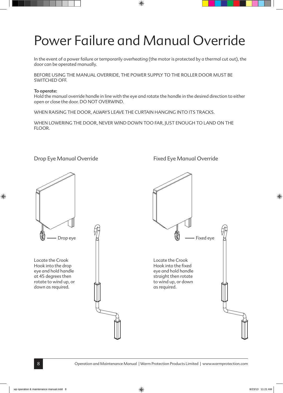# Power Failure and Manual Override

In the event of a power failure or temporarily overheating (the motor is protected by a thermal cut out), the door can be operated manually.

BEFORE USING THE MANUAL OVERRIDE, THE POWER SUPPLY TO THE ROLLER DOOR MUST BE SWITCHED OFF.

#### To operate:

Hold the manual override handle in line with the eye and rotate the handle in the desired direction to either open or close the door. DO NOT OVERWIND.

WHEN RAISING THE DOOR, ALWAYS LEAVE THE CURTAIN HANGING INTO ITS TRACKS.

WHEN LOWERING THE DOOR, NEVER WIND DOWN TOO FAR, JUST ENOUGH TO LAND ON THE FLOOR.



Locate the Crook Hook into the drop eye and hold handle at 45 degrees then rotate to wind up, or down as required.



Drop Eye Manual Override Fixed Eye Manual Override

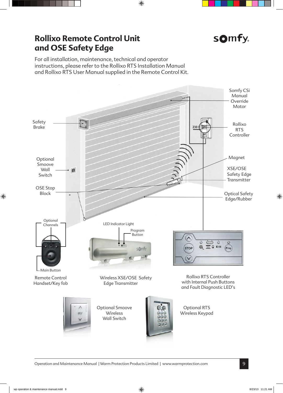### **Rollixo Remote Control Unit and OSE Safety Edge**



For all installation, maintenance, technical and operator instructions, please refer to the Rollixo RTS Installation Manual and Rollixo RTS User Manual supplied in the Remote Control Kit.

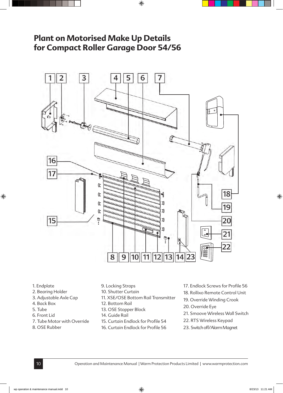### **Plant on Motorised Make Up Details for Compact Roller Garage Door 54/56**



- 1. Endplate
- 2. Bearing Holder
- 3. Adjustable Axle Cap
- 4. Back Box
- 5. Tube
- 6. Front Lid
- 7. Tube Motor with Override
- 8. OSE Rubber
- 9. Locking Straps
- 10. Shutter Curtain
- 11. XSE/OSE Bottom Rail Transmitter
- 12. Bottom Rail
- 13. OSE Stopper Block
- 14. Guide Rail
- 15. Curtain Endlock for Profile 54
- 16. Curtain Endlock for Profile 56
- 17. Endlock Screws for Profile 56
- 18. Rollixo Remote Control Unit
- 19. Override Winding Crook
- 20. Override Eye
- 21. Smoove Wireless Wall Switch
- 22. RTS Wireless Keypad
- 23. Switch off/Alarm Magnet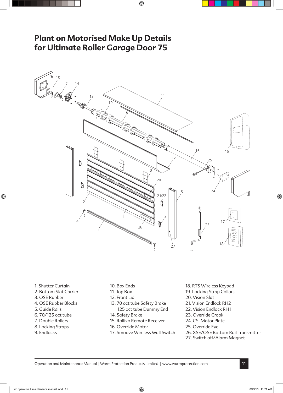### **Plant on Motorised Make Up Details for Ultimate Roller Garage Door 75**



- 1. Shutter Curtain
- 2. Bottom Slat Carrier
- 3. OSE Rubber
- 4. OSE Rubber Blocks
- 5. Guide Rails
- 6. 70/125 oct tube
- 7. Double Rollers
- 8. Locking Straps
- 9. Endlocks
- 10. Box Ends
- 11. Top Box
- 12. Front Lid
- 13. 70 oct tube Safety Brake
- 125 oct tube Dummy End
- 14. Safety Brake
- 15. Rollixo Remote Receiver
- 16. Override Motor
- 17. Smoove Wireless Wall Switch
- 18. RTS Wireless Keypad
- 19. Locking Strap Collars
- 20. Vision Slat
- 21. Vision Endlock RH2
- 22. Vision Endlock RH1
- 23. Override Crook
- 24. CSI Motor Plate
- 25. Override Eye
- 26. XSE/OSE Bottom Rail Transmitter
- 27. Switch off/Alarm Magnet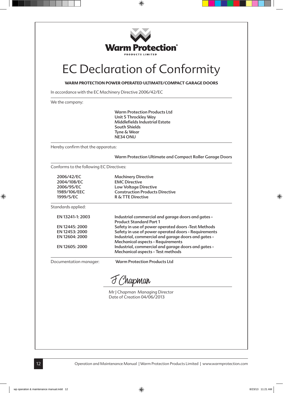

### EC Declaration of Conformity

**WARM PROTECTION POWER OPERATED ULTIMATE/COMPACT GARAGE DOORS**

In accordance with the EC Machinery Directive 2006/42/EC

We the company:

 Warm Protection Products Ltd Unit 5 Throckley Way Middlefields Industrial Estate South Shields Tyne & Wear NE34 ONU

Hereby confirm that the apparatus:

 Warm Protection Ultimate and Compact Roller Garage Doors

Conforms to the following EC Directives:

| 2006/42/EC<br>2004/108/EC<br>2006/95/EC<br>1989/106/EEC<br>1999/5/EC | <b>Machinery Directive</b><br><b>EMC Directive</b><br><b>Low Voltage Directive</b><br><b>Construction Products Directive</b><br><b>R &amp; TTE Directive</b> |
|----------------------------------------------------------------------|--------------------------------------------------------------------------------------------------------------------------------------------------------------|
| Standards applied:                                                   |                                                                                                                                                              |
| EN 13241-1: 2003                                                     | Industrial commercial and garage doors and gates -<br><b>Product Standard Part 1</b>                                                                         |
| EN 12445: 2000                                                       | Safety in use of power operated doors -Test Methods                                                                                                          |
| EN 12453: 2000                                                       | Safety in use of power operated doors - Requirements                                                                                                         |
| EN 12604: 2000                                                       | Industrial, commercial and garage doors and gates -<br><b>Mechanical aspects - Requirements</b>                                                              |
| EN 12605: 2000                                                       | Industrial, commercial and garage doors and gates -<br>Mechanical aspects - Test methods                                                                     |

Documentation manager: Warm Protection Products Ltd

J Chapman

Mr J Chapman Managing Director Date of Creation 04/06/2013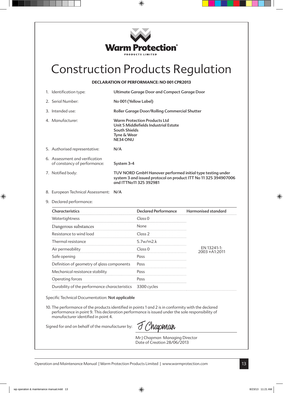

### Construction Products Regulation

#### **DECLARATION OF PERFORMANCE: NO 001 CPR2013**

| 1. Identification type:                                        | Ultimate Garage Door and Compact Garage Door                                                                                                            |
|----------------------------------------------------------------|---------------------------------------------------------------------------------------------------------------------------------------------------------|
| 2. Serial Number:                                              | No 001 (Yellow Label)                                                                                                                                   |
| 3. Intended use:                                               | Roller Garage Door/Rolling Commercial Shutter                                                                                                           |
| 4. Manufacturer:                                               | Warm Protection Products Ltd<br>Unit 5 Middlefields Industrial Estate<br>South Shields<br>Tyne & Wear<br><b>NE34 ONU</b>                                |
| 5. Authorised representative:                                  | N/A                                                                                                                                                     |
| 6. Assessment and verification<br>of constancy of performance: | System 3-4                                                                                                                                              |
| 7. Notified body:                                              | TUV NORD GmbH Hanover performed initial type testing under<br>system 3 and issued protocol on product ITT No 11 325 394907006<br>and ITTNo11 325 392981 |
| 8. European Technical Assessment: N/A                          |                                                                                                                                                         |

9. Declared performance:

| Characteristics                               | <b>Declared Performance</b> | <b>Harmonised standard</b>      |
|-----------------------------------------------|-----------------------------|---------------------------------|
| Watertightness                                | Class <sub>0</sub>          |                                 |
| Dangerous substances                          | None                        |                                 |
| Resistance to wind load                       | Class 2                     |                                 |
| Thermal resistance                            | 5.7w/m2.k                   | EN 13241-1:<br>$2003 + A1:2011$ |
| Air permeability                              | Class <sub>0</sub>          |                                 |
| Safe opening                                  | Pass                        |                                 |
| Definition of geometry of glass components    | Pass                        |                                 |
| Mechanical resistance stability               | Pass                        |                                 |
| Operating forces                              | Pass                        |                                 |
| Durability of the performance characteristics | 3300 cycles                 |                                 |

Specific Technical Documentation: Not applicable

10. The performance of the products identified in points 1 and 2 is in conformity with the declared performance in point 9. This declaration performance is issued under the sole responsibility of manufacturer identified in point 4.

Signed for and on behalf of the manufacturer by:

*Phapman* 

Mr J Chapman Managing Director Date of Creation 28/06/2013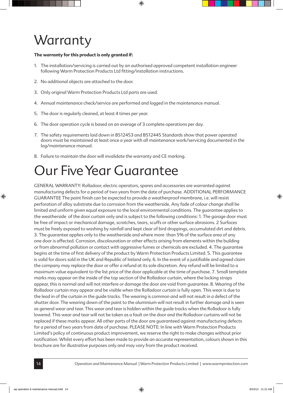# **Warranty**

#### **The warranty for this product is only granted if:**

- 1. The installation/servicing is carried out by an authorised approved competent installation engineer following Warm Protection Products Ltd fitting/installation instructions.
- 2. No additional objects are attached to the door.
- 3. Only original Warm Protection Products Ltd parts are used.
- 4. Annual maintenance check/service are performed and logged in the maintenance manual.
- 5. The door is regularly cleaned, at least 4 times per year.
- 6. The door operation cycle is based on an average of 3 complete operations per day.
- 7. The safety requirements laid down in BS12453 and BS12445 Standards show that power operated doors must be maintained at least once a year with all maintenance work/servicing documented in the log/maintenance manual.
- 8. Failure to maintain the door will invalidate the warranty and CE marking.

## Our Five Year Guarantee

GENERAL WARRANTY: Rolladoor, electric operators, spares and accessories are warranted against manufacturing defects for a period of two years from the date of purchase. ADDITIONAL PERFORMANCE GUARANTEE The paint finish can be expected to provide a weatherproof membrane, i.e. will resist perforation of alloy substrate due to corrosion from the weatherside. Any fade of colour change shall be limited and uniform given equal exposure to the local environmental conditions. The guarantee applies to the weatherside of the door curtain only and is subject to the following conditions: 1. The garage door must be free of impact or mechanical damage, scratches, tears, scuffs or other surface abrasions. 2 Surfaces must be freely exposed to washing by rainfall and kept clear of bird droppings, accumulated dirt and debris. 3. The guarantee applies only to the weatherside and where more than 5% of the surface area of any one door is affected. Corrosion, discolouration or other effects arising from elements within the building or from abnormal pollution or contact with aggressive fumes or chemicals are excluded. 4. The guarantee begins at the time of first delivery of the product by Warm Protection Products Limited. 5. This guarantee is valid for doors sold in the UK and Republic of Ireland only. 6. In the event of a justifiable and agreed claim the company may replace the door or offer a refund at its sole discretion. Any refund will be limited to a maximum value equivalent to the list price of the door applicable at the time of purchase. 7. Small template marks may appear on the inside of the top section of the Rolladoor curtain, where the locking straps appear, this is normal and will not interfere or damage the door are void from guarantee. 8. Wearing of the Rolladoor curtain may appear and be visible when the Rolladoor curtain is fully open. This wear is due to the lead in of the curtain in the guide tracks. The wearing is common and will not result in a defect of the shutter door. The wearing down of the paint to the aluminium will not result in further damage and is seen as general wear and tear. This wear and tear is hidden within the guide tracks when the Rolladoor is fully lowered. This wear and tear will not be taken as a fault on the door and the Rolladoor curtains will not be replaced if these marks appear. All other parts of the door are guaranteed against manufacturing defects for a period of two years from date of purchase. PLEASE NOTE: In line with Warm Protection Products Limited's policy of continuous product improvement, we reserve the right to make changes without prior notification. Whilst every effort has been made to provide an accurate representation, colours shown in this brochure are for illustrative purposes only and may vary from the product received.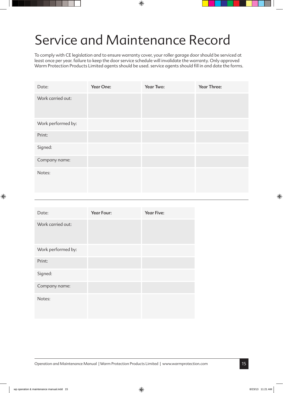## Service and Maintenance Record

To comply with CE legislation and to ensure warranty cover, your roller garage door should be serviced at least once per year. failure to keep the door service schedule will invalidate the warranty. Only approved Warm Protection Products Limited agents should be used. service agents should fill in and date the forms.

| Date:              | Year One: | Year Two: | Year Three: |
|--------------------|-----------|-----------|-------------|
| Work carried out:  |           |           |             |
| Work performed by: |           |           |             |
| Print:             |           |           |             |
| Signed:            |           |           |             |
| Company name:      |           |           |             |
| Notes:             |           |           |             |

| Date:              | Year Four: | <b>Year Five:</b> |
|--------------------|------------|-------------------|
| Work carried out:  |            |                   |
| Work performed by: |            |                   |
| Print:             |            |                   |
| Signed:            |            |                   |
| Company name:      |            |                   |
| Notes:             |            |                   |